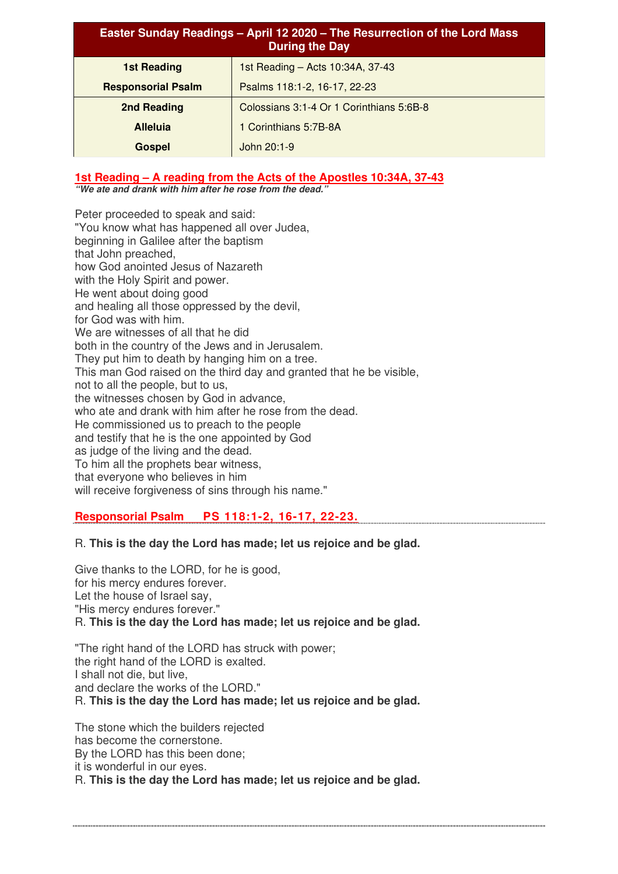| Easter Sunday Readings - April 12 2020 - The Resurrection of the Lord Mass<br>During the Day |                                          |
|----------------------------------------------------------------------------------------------|------------------------------------------|
| <b>1st Reading</b>                                                                           | 1st Reading - Acts 10:34A, 37-43         |
| <b>Responsorial Psalm</b>                                                                    | Psalms 118:1-2, 16-17, 22-23             |
| 2nd Reading                                                                                  | Colossians 3:1-4 Or 1 Corinthians 5:6B-8 |
| <b>Alleluia</b>                                                                              | 1 Corinthians 5:7B-8A                    |
| <b>Gospel</b>                                                                                | John 20:1-9                              |

**1st Reading – A reading from the Acts of the Apostles 10:34A, 37-43 "We ate and drank with him after he rose from the dead."** 

Peter proceeded to speak and said: "You know what has happened all over Judea, beginning in Galilee after the baptism that John preached, how God anointed Jesus of Nazareth with the Holy Spirit and power. He went about doing good and healing all those oppressed by the devil, for God was with him. We are witnesses of all that he did both in the country of the Jews and in Jerusalem. They put him to death by hanging him on a tree. This man God raised on the third day and granted that he be visible, not to all the people, but to us, the witnesses chosen by God in advance, who ate and drank with him after he rose from the dead. He commissioned us to preach to the people and testify that he is the one appointed by God as judge of the living and the dead. To him all the prophets bear witness, that everyone who believes in him will receive forgiveness of sins through his name."

# **Responsorial Psalm PS 118:1-2, 16-17, 22-23.**

# R. **This is the day the Lord has made; let us rejoice and be glad.**

Give thanks to the LORD, for he is good, for his mercy endures forever. Let the house of Israel say, "His mercy endures forever." R. **This is the day the Lord has made; let us rejoice and be glad.**

"The right hand of the LORD has struck with power; the right hand of the LORD is exalted. I shall not die, but live, and declare the works of the LORD." R. **This is the day the Lord has made; let us rejoice and be glad.**

The stone which the builders rejected has become the cornerstone. By the LORD has this been done; it is wonderful in our eyes. R. **This is the day the Lord has made; let us rejoice and be glad.**